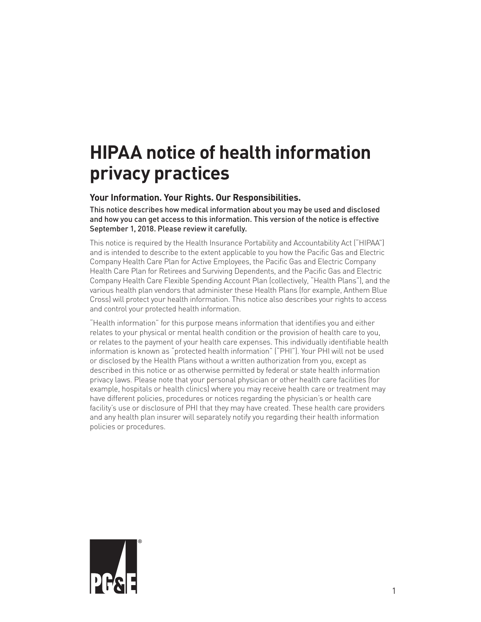# **HIPAA notice of health information privacy practices**

# **Your Information. Your Rights. Our Responsibilities.**

This notice describes how medical information about you may be used and disclosed and how you can get access to this information. This version of the notice is effective September 1, 2018. Please review it carefully.

This notice is required by the Health Insurance Portability and Accountability Act ("HIPAA") and is intended to describe to the extent applicable to you how the Pacific Gas and Electric Company Health Care Plan for Active Employees, the Pacific Gas and Electric Company Health Care Plan for Retirees and Surviving Dependents, and the Pacific Gas and Electric Company Health Care Flexible Spending Account Plan (collectively, "Health Plans"), and the various health plan vendors that administer these Health Plans (for example, Anthem Blue Cross) will protect your health information. This notice also describes your rights to access and control your protected health information.

"Health information" for this purpose means information that identifies you and either relates to your physical or mental health condition or the provision of health care to you, or relates to the payment of your health care expenses. This individually identifiable health information is known as "protected health information" ("PHI"). Your PHI will not be used or disclosed by the Health Plans without a written authorization from you, except as described in this notice or as otherwise permitted by federal or state health information privacy laws. Please note that your personal physician or other health care facilities (for example, hospitals or health clinics) where you may receive health care or treatment may have different policies, procedures or notices regarding the physician's or health care facility's use or disclosure of PHI that they may have created. These health care providers and any health plan insurer will separately notify you regarding their health information policies or procedures.

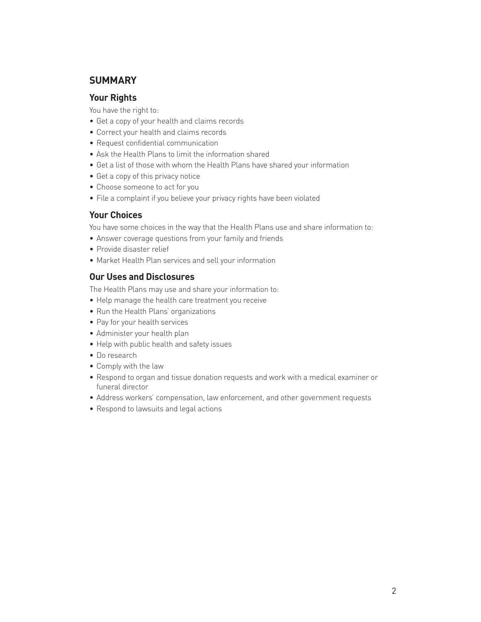# **SUMMARY**

## **Your Rights**

You have the right to:

- Get a copy of your health and claims records
- Correct your health and claims records
- Request confidential communication
- Ask the Health Plans to limit the information shared
- Get a list of those with whom the Health Plans have shared your information
- Get a copy of this privacy notice
- Choose someone to act for you
- File a complaint if you believe your privacy rights have been violated

# **Your Choices**

You have some choices in the way that the Health Plans use and share information to:

- Answer coverage questions from your family and friends
- Provide disaster relief
- Market Health Plan services and sell your information

# **Our Uses and Disclosures**

The Health Plans may use and share your information to:

- Help manage the health care treatment you receive
- Run the Health Plans' organizations
- Pay for your health services
- Administer your health plan
- Help with public health and safety issues
- Do research
- Comply with the law
- Respond to organ and tissue donation requests and work with a medical examiner or funeral director
- Address workers' compensation, law enforcement, and other government requests
- Respond to lawsuits and legal actions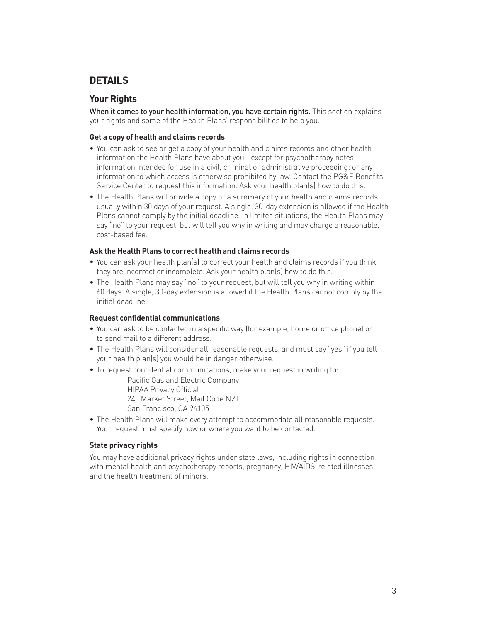# **DETAILS**

# **Your Rights**

When it comes to your health information, you have certain rights. This section explains your rights and some of the Health Plans' responsibilities to help you.

## **Get a copy of health and claims records**

- You can ask to see or get a copy of your health and claims records and other health information the Health Plans have about you—except for psychotherapy notes; information intended for use in a civil, criminal or administrative proceeding; or any information to which access is otherwise prohibited by law. Contact the PG&E Benefits Service Center to request this information. Ask your health plan(s) how to do this.
- The Health Plans will provide a copy or a summary of your health and claims records, usually within 30 days of your request. A single, 30-day extension is allowed if the Health Plans cannot comply by the initial deadline. In limited situations, the Health Plans may say "no" to your request, but will tell you why in writing and may charge a reasonable, cost-based fee.

## **Ask the Health Plans to correct health and claims records**

- You can ask your health plan(s) to correct your health and claims records if you think they are incorrect or incomplete. Ask your health plan(s) how to do this.
- The Health Plans may say "no" to your request, but will tell you why in writing within 60 days. A single, 30-day extension is allowed if the Health Plans cannot comply by the initial deadline.

## **Request confidential communications**

- You can ask to be contacted in a specific way (for example, home or office phone) or to send mail to a different address.
- The Health Plans will consider all reasonable requests, and must say "yes" if you tell your health plan(s) you would be in danger otherwise.
- To request confidential communications, make your request in writing to:

Pacific Gas and Electric Company HIPAA Privacy Official 245 Market Street, Mail Code N2T San Francisco, CA 94105

• The Health Plans will make every attempt to accommodate all reasonable requests. Your request must specify how or where you want to be contacted.

## **State privacy rights**

You may have additional privacy rights under state laws, including rights in connection with mental health and psychotherapy reports, pregnancy, HIV/AIDS-related illnesses, and the health treatment of minors.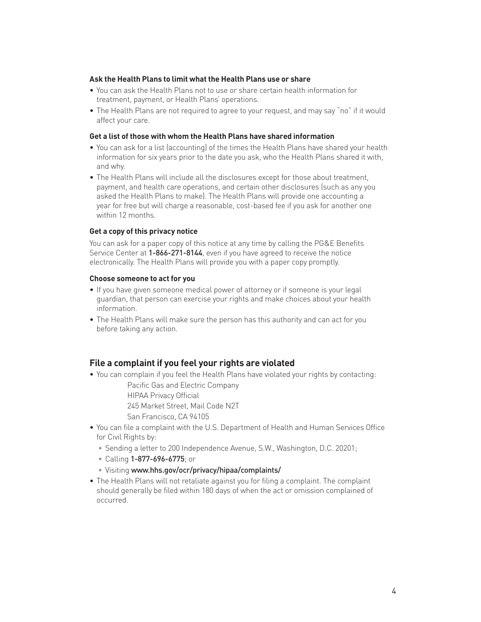## **Ask the Health Plans to limit what the Health Plans use or share**

- You can ask the Health Plans not to use or share certain health information for treatment, payment, or Health Plans' operations.
- The Health Plans are not required to agree to your request, and may say "no" if it would affect your care.

## **Get a list of those with whom the Health Plans have shared information**

- You can ask for a list (accounting) of the times the Health Plans have shared your health information for six years prior to the date you ask, who the Health Plans shared it with, and why.
- The Health Plans will include all the disclosures except for those about treatment, payment, and health care operations, and certain other disclosures (such as any you asked the Health Plans to make). The Health Plans will provide one accounting a year for free but will charge a reasonable, cost-based fee if you ask for another one within 12 months.

#### **Get a copy of this privacy notice**

You can ask for a paper copy of this notice at any time by calling the PG&E Benefits Service Center at 1-866-271-8144, even if you have agreed to receive the notice electronically. The Health Plans will provide you with a paper copy promptly.

#### **Choose someone to act for you**

- If you have given someone medical power of attorney or if someone is your legal guardian, that person can exercise your rights and make choices about your health information.
- The Health Plans will make sure the person has this authority and can act for you before taking any action.

## **File a complaint if you feel your rights are violated**

• You can complain if you feel the Health Plans have violated your rights by contacting:

Pacific Gas and Electric Company

HIPAA Privacy Official

245 Market Street, Mail Code N2T

- San Francisco, CA 94105
- You can file a complaint with the U.S. Department of Health and Human Services Office for Civil Rights by:
	- Sending a letter to 200 Independence Avenue, S.W., Washington, D.C. 20201;
	- Calling 1-877-696-6775; or
	- Visiting www.hhs.gov/ocr/privacy/hipaa/complaints/
- The Health Plans will not retaliate against you for filing a complaint. The complaint should generally be filed within 180 days of when the act or omission complained of occurred.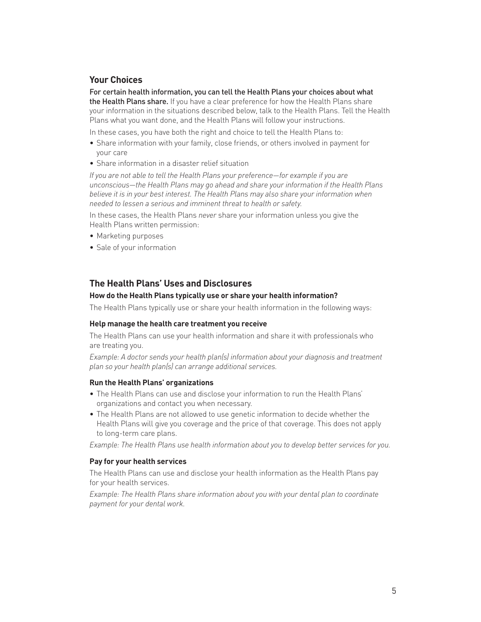## **Your Choices**

For certain health information, you can tell the Health Plans your choices about what the Health Plans share. If you have a clear preference for how the Health Plans share your information in the situations described below, talk to the Health Plans. Tell the Health Plans what you want done, and the Health Plans will follow your instructions.

In these cases, you have both the right and choice to tell the Health Plans to:

- Share information with your family, close friends, or others involved in payment for your care
- Share information in a disaster relief situation

*If you are not able to tell the Health Plans your preference—for example if you are unconscious—the Health Plans may go ahead and share your information if the Health Plans believe it is in your best interest. The Health Plans may also share your information when needed to lessen a serious and imminent threat to health or safety.*

In these cases, the Health Plans *never* share your information unless you give the Health Plans written permission:

- Marketing purposes
- Sale of your information

## **The Health Plans' Uses and Disclosures**

## **How do the Health Plans typically use or share your health information?**

The Health Plans typically use or share your health information in the following ways:

## **Help manage the health care treatment you receive**

The Health Plans can use your health information and share it with professionals who are treating you.

*Example: A doctor sends your health plan(s) information about your diagnosis and treatment plan so your health plan(s) can arrange additional services.*

#### **Run the Health Plans' organizations**

- The Health Plans can use and disclose your information to run the Health Plans' organizations and contact you when necessary.
- The Health Plans are not allowed to use genetic information to decide whether the Health Plans will give you coverage and the price of that coverage. This does not apply to long-term care plans.

*Example: The Health Plans use health information about you to develop better services for you.*

#### **Pay for your health services**

The Health Plans can use and disclose your health information as the Health Plans pay for your health services.

*Example: The Health Plans share information about you with your dental plan to coordinate payment for your dental work.*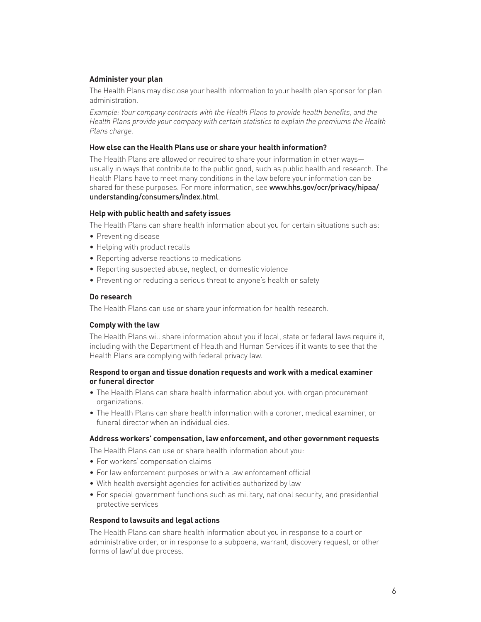## **Administer your plan**

The Health Plans may disclose your health information to your health plan sponsor for plan administration.

*Example: Your company contracts with the Health Plans to provide health benefits, and the Health Plans provide your company with certain statistics to explain the premiums the Health Plans charge.*

## **How else can the Health Plans use or share your health information?**

The Health Plans are allowed or required to share your information in other ways usually in ways that contribute to the public good, such as public health and research. The Health Plans have to meet many conditions in the law before your information can be shared for these purposes. For more information, see www.hhs.gov/ocr/privacy/hipaa/ understanding/consumers/index.html.

## **Help with public health and safety issues**

The Health Plans can share health information about you for certain situations such as:

- Preventing disease
- Helping with product recalls
- Reporting adverse reactions to medications
- Reporting suspected abuse, neglect, or domestic violence
- Preventing or reducing a serious threat to anyone's health or safety

## **Do research**

The Health Plans can use or share your information for health research.

## **Comply with the law**

The Health Plans will share information about you if local, state or federal laws require it, including with the Department of Health and Human Services if it wants to see that the Health Plans are complying with federal privacy law.

## **Respond to organ and tissue donation requests and work with a medical examiner or funeral director**

- The Health Plans can share health information about you with organ procurement organizations.
- The Health Plans can share health information with a coroner, medical examiner, or funeral director when an individual dies.

## **Address workers' compensation, law enforcement, and other government requests**

The Health Plans can use or share health information about you:

- For workers' compensation claims
- For law enforcement purposes or with a law enforcement official
- With health oversight agencies for activities authorized by law
- For special government functions such as military, national security, and presidential protective services

## **Respond to lawsuits and legal actions**

The Health Plans can share health information about you in response to a court or administrative order, or in response to a subpoena, warrant, discovery request, or other forms of lawful due process.